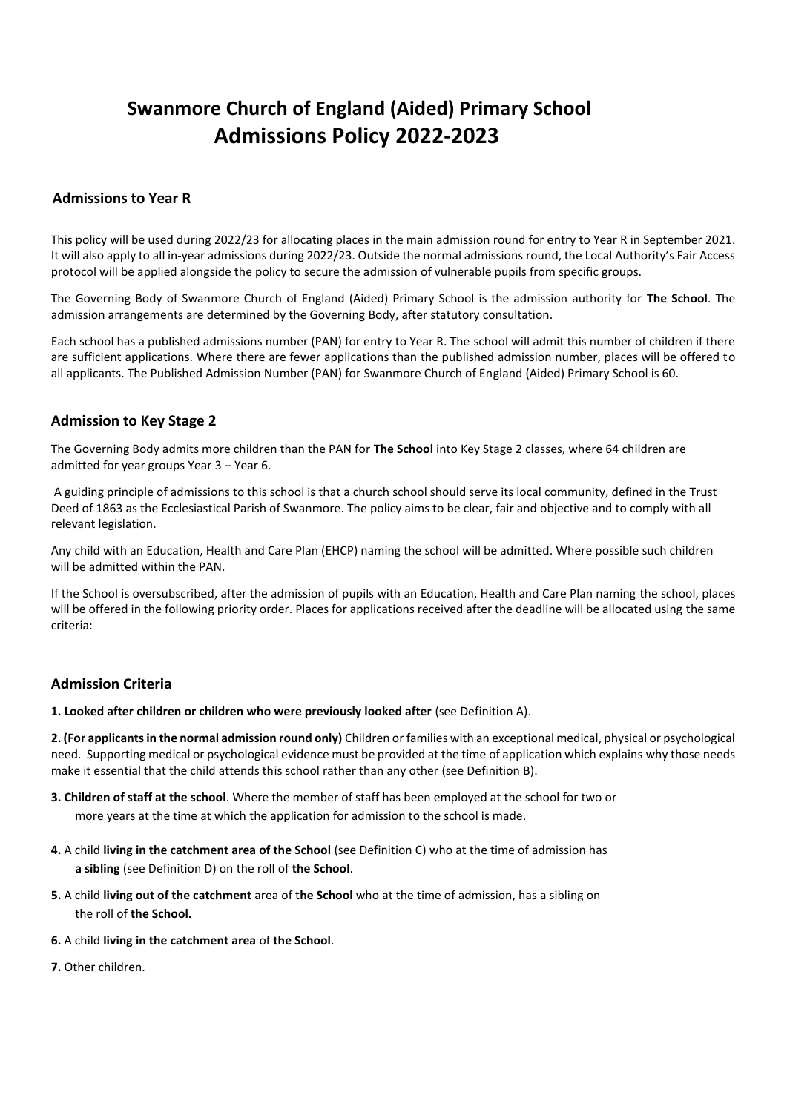# **Admissions to Year R**

This policy will be used during 2022/23 for allocating places in the main admission round for entry to Year R in September 2021. It will also apply to all in-year admissions during 2022/23. Outside the normal admissions round, the Local Authority's Fair Access protocol will be applied alongside the policy to secure the admission of vulnerable pupils from specific groups.

The Governing Body of Swanmore Church of England (Aided) Primary School is the admission authority for **The School**. The admission arrangements are determined by the Governing Body, after statutory consultation.

Each school has a published admissions number (PAN) for entry to Year R. The school will admit this number of children if there are sufficient applications. Where there are fewer applications than the published admission number, places will be offered to all applicants. The Published Admission Number (PAN) for Swanmore Church of England (Aided) Primary School is 60.

# **Admission to Key Stage 2**

The Governing Body admits more children than the PAN for **The School** into Key Stage 2 classes, where 64 children are admitted for year groups Year 3 – Year 6.

A guiding principle of admissions to this school is that a church school should serve its local community, defined in the Trust Deed of 1863 as the Ecclesiastical Parish of Swanmore. The policy aims to be clear, fair and objective and to comply with all relevant legislation.

Any child with an Education, Health and Care Plan (EHCP) naming the school will be admitted. Where possible such children will be admitted within the PAN.

If the School is oversubscribed, after the admission of pupils with an Education, Health and Care Plan naming the school, places will be offered in the following priority order. Places for applications received after the deadline will be allocated using the same criteria:

# **Admission Criteria**

**1. Looked after children or children who were previously looked after** (see Definition A).

**2. (For applicants in the normal admission round only)** Children or families with an exceptional medical, physical or psychological need. Supporting medical or psychological evidence must be provided at the time of application which explains why those needs make it essential that the child attends this school rather than any other (see Definition B).

- **3. Children of staff at the school**. Where the member of staff has been employed at the school for two or more years at the time at which the application for admission to the school is made.
- **4.** A child **living in the catchment area of the School** (see Definition C) who at the time of admission has **a sibling** (see Definition D) on the roll of **the School**.
- **5.** A child **living out of the catchment** area of t**he School** who at the time of admission, has a sibling on the roll of **the School.**
- **6.** A child **living in the catchment area** of **the School**.
- **7.** Other children.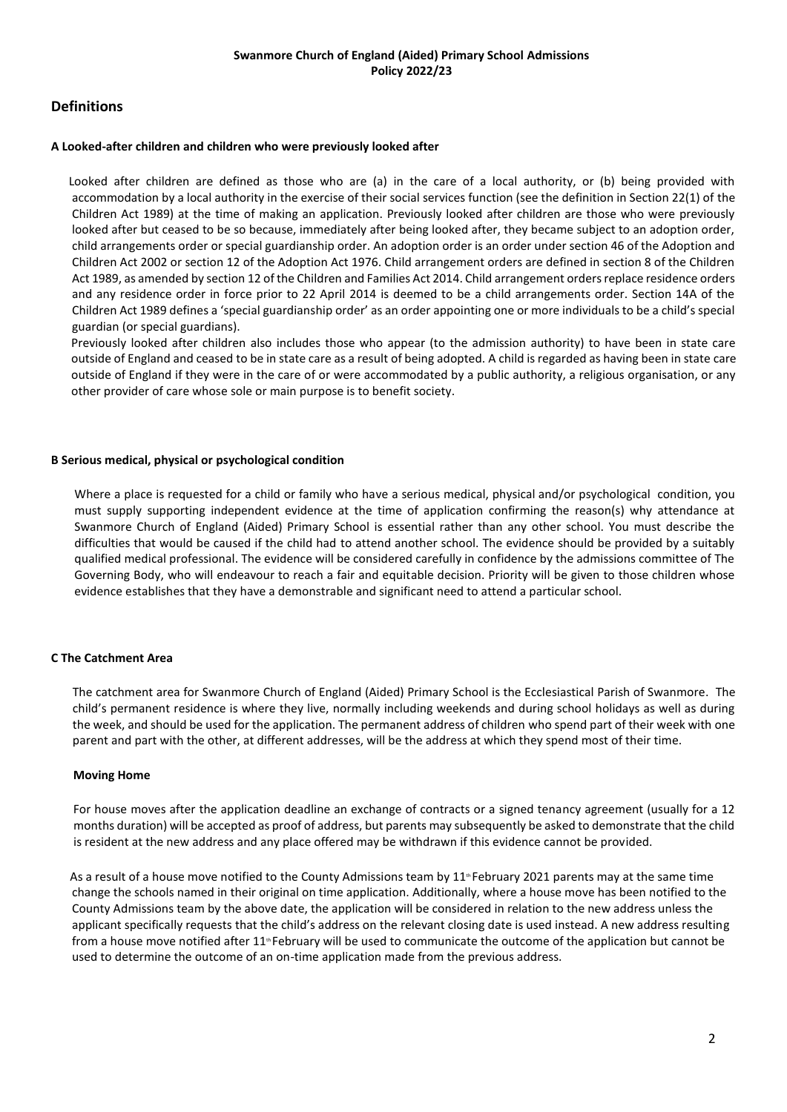# **Definitions**

#### **A Looked-after children and children who were previously looked after**

Looked after children are defined as those who are (a) in the care of a local authority, or (b) being provided with accommodation by a local authority in the exercise of their social services function (see the definition in Section 22(1) of the Children Act 1989) at the time of making an application. Previously looked after children are those who were previously looked after but ceased to be so because, immediately after being looked after, they became subject to an adoption order, child arrangements order or special guardianship order. An adoption order is an order under section 46 of the Adoption and Children Act 2002 or section 12 of the Adoption Act 1976. Child arrangement orders are defined in section 8 of the Children Act 1989, as amended by section 12 of the Children and Families Act 2014. Child arrangement orders replace residence orders and any residence order in force prior to 22 April 2014 is deemed to be a child arrangements order. Section 14A of the Children Act 1989 defines a 'special guardianship order' as an order appointing one or more individuals to be a child's special guardian (or special guardians).

Previously looked after children also includes those who appear (to the admission authority) to have been in state care outside of England and ceased to be in state care as a result of being adopted. A child is regarded as having been in state care outside of England if they were in the care of or were accommodated by a public authority, a religious organisation, or any other provider of care whose sole or main purpose is to benefit society.

#### **B Serious medical, physical or psychological condition**

Where a place is requested for a child or family who have a serious medical, physical and/or psychological condition, you must supply supporting independent evidence at the time of application confirming the reason(s) why attendance at Swanmore Church of England (Aided) Primary School is essential rather than any other school. You must describe the difficulties that would be caused if the child had to attend another school. The evidence should be provided by a suitably qualified medical professional. The evidence will be considered carefully in confidence by the admissions committee of The Governing Body, who will endeavour to reach a fair and equitable decision. Priority will be given to those children whose evidence establishes that they have a demonstrable and significant need to attend a particular school.

#### **C The Catchment Area**

The catchment area for Swanmore Church of England (Aided) Primary School is the Ecclesiastical Parish of Swanmore. The child's permanent residence is where they live, normally including weekends and during school holidays as well as during the week, and should be used for the application. The permanent address of children who spend part of their week with one parent and part with the other, at different addresses, will be the address at which they spend most of their time.

#### **Moving Home**

For house moves after the application deadline an exchange of contracts or a signed tenancy agreement (usually for a 12 months duration) will be accepted as proof of address, but parents may subsequently be asked to demonstrate that the child is resident at the new address and any place offered may be withdrawn if this evidence cannot be provided.

As a result of a house move notified to the County Admissions team by  $11$ <sup>\*</sup>February 2021 parents may at the same time change the schools named in their original on time application. Additionally, where a house move has been notified to the County Admissions team by the above date, the application will be considered in relation to the new address unless the applicant specifically requests that the child's address on the relevant closing date is used instead. A new address resulting from a house move notified after 11<sup>th</sup> February will be used to communicate the outcome of the application but cannot be used to determine the outcome of an on-time application made from the previous address.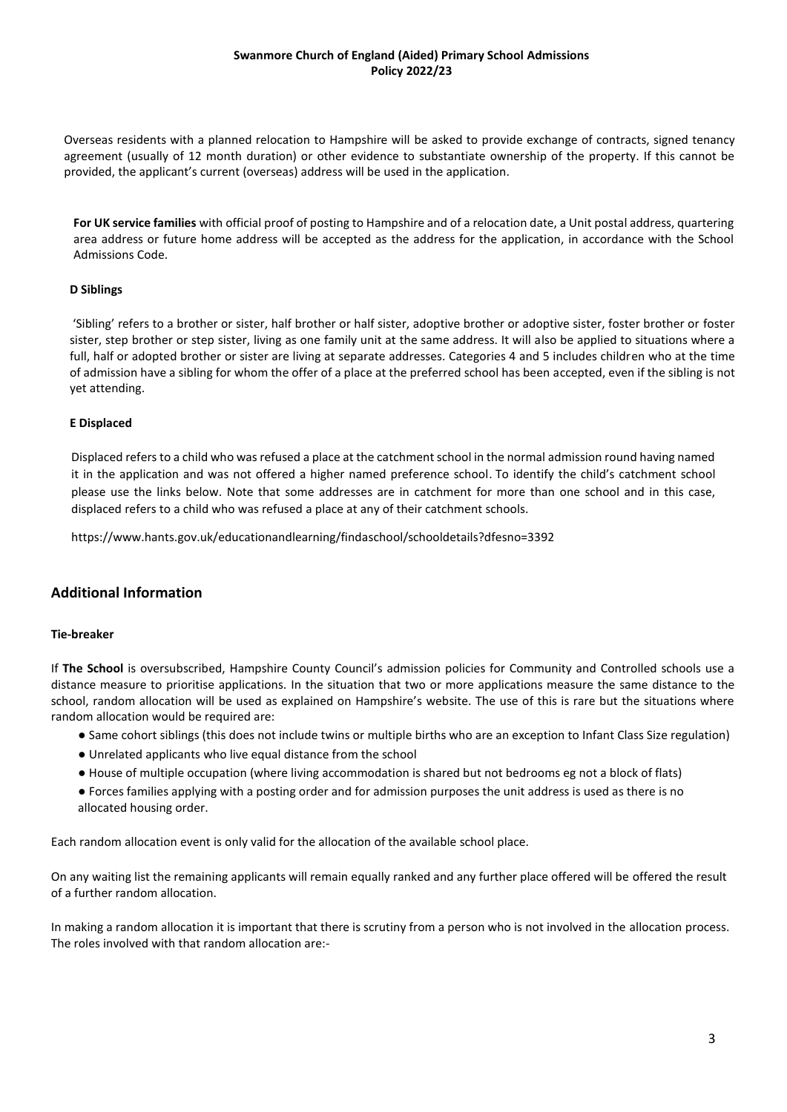Overseas residents with a planned relocation to Hampshire will be asked to provide exchange of contracts, signed tenancy agreement (usually of 12 month duration) or other evidence to substantiate ownership of the property. If this cannot be provided, the applicant's current (overseas) address will be used in the application.

**For UK service families** with official proof of posting to Hampshire and of a relocation date, a Unit postal address, quartering area address or future home address will be accepted as the address for the application, in accordance with the School Admissions Code.

#### **D Siblings**

'Sibling' refers to a brother or sister, half brother or half sister, adoptive brother or adoptive sister, foster brother or foster sister, step brother or step sister, living as one family unit at the same address. It will also be applied to situations where a full, half or adopted brother or sister are living at separate addresses. Categories 4 and 5 includes children who at the time of admission have a sibling for whom the offer of a place at the preferred school has been accepted, even if the sibling is not yet attending.

#### **E Displaced**

Displaced refers to a child who was refused a place at the catchment school in the normal admission round having named it in the application and was not offered a higher named preference school. To identify the child's catchment school please use the links below. Note that some addresses are in catchment for more than one school and in this case, displaced refers to a child who was refused a place at any of their catchment schools.

https://www.hants.gov.uk/educationandlearning/findaschool/schooldetails?dfesno=3392

# **Additional Information**

#### **Tie-breaker**

If **The School** is oversubscribed, Hampshire County Council's admission policies for Community and Controlled schools use a distance measure to prioritise applications. In the situation that two or more applications measure the same distance to the school, random allocation will be used as explained on Hampshire's website. The use of this is rare but the situations where random allocation would be required are:

- Same cohort siblings (this does not include twins or multiple births who are an exception to Infant Class Size regulation)
- Unrelated applicants who live equal distance from the school
- House of multiple occupation (where living accommodation is shared but not bedrooms eg not a block of flats)
- Forces families applying with a posting order and for admission purposes the unit address is used as there is no allocated housing order.

Each random allocation event is only valid for the allocation of the available school place.

On any waiting list the remaining applicants will remain equally ranked and any further place offered will be offered the result of a further random allocation.

In making a random allocation it is important that there is scrutiny from a person who is not involved in the allocation process. The roles involved with that random allocation are:-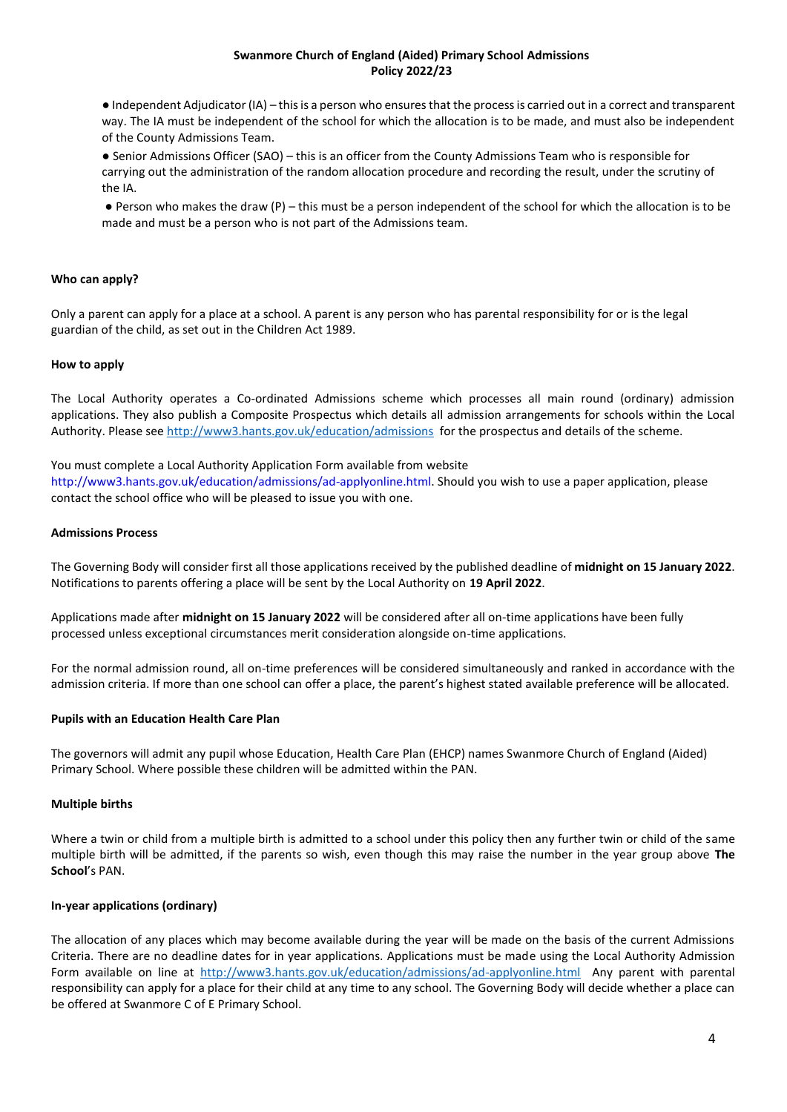● Independent Adjudicator (IA) – this is a person who ensures that the process is carried out in a correct and transparent way. The IA must be independent of the school for which the allocation is to be made, and must also be independent of the County Admissions Team.

● Senior Admissions Officer (SAO) – this is an officer from the County Admissions Team who is responsible for carrying out the administration of the random allocation procedure and recording the result, under the scrutiny of the IA.

● Person who makes the draw (P) – this must be a person independent of the school for which the allocation is to be made and must be a person who is not part of the Admissions team.

#### **Who can apply?**

Only a parent can apply for a place at a school. A parent is any person who has parental responsibility for or is the legal guardian of the child, as set out in the Children Act 1989.

#### **How to apply**

The Local Authority operates a Co-ordinated Admissions scheme which processes all main round (ordinary) admission applications. They also publish a Composite Prospectus which details all admission arrangements for schools within the Local Authority. Please se[e http://www3.hants.gov.uk/education/admissions](http://www3.hants.gov.uk/education/admissions) for the prospectus and details of the scheme.

#### You must complete a Local Authority Application Form available from website

http://www3.hants.gov.uk/education/admissions/ad-applyonline.html. Should you wish to use a paper application, please contact the school office who will be pleased to issue you with one.

#### **Admissions Process**

The Governing Body will consider first all those applications received by the published deadline of **midnight on 15 January 2022**. Notifications to parents offering a place will be sent by the Local Authority on **19 April 2022**.

Applications made after **midnight on 15 January 2022** will be considered after all on-time applications have been fully processed unless exceptional circumstances merit consideration alongside on-time applications.

For the normal admission round, all on-time preferences will be considered simultaneously and ranked in accordance with the admission criteria. If more than one school can offer a place, the parent's highest stated available preference will be allocated.

#### **Pupils with an Education Health Care Plan**

The governors will admit any pupil whose Education, Health Care Plan (EHCP) names Swanmore Church of England (Aided) Primary School. Where possible these children will be admitted within the PAN.

#### **Multiple births**

Where a twin or child from a multiple birth is admitted to a school under this policy then any further twin or child of the same multiple birth will be admitted, if the parents so wish, even though this may raise the number in the year group above **The School**'s PAN.

#### **In-year applications (ordinary)**

The allocation of any places which may become available during the year will be made on the basis of the current Admissions Criteria. There are no deadline dates for in year applications. Applications must be made using the Local Authority Admission Form available on line at<http://www3.hants.gov.uk/education/admissions/ad-applyonline.html> Any parent with parental responsibility can apply for a place for their child at any time to any school. The Governing Body will decide whether a place can be offered at Swanmore C of E Primary School.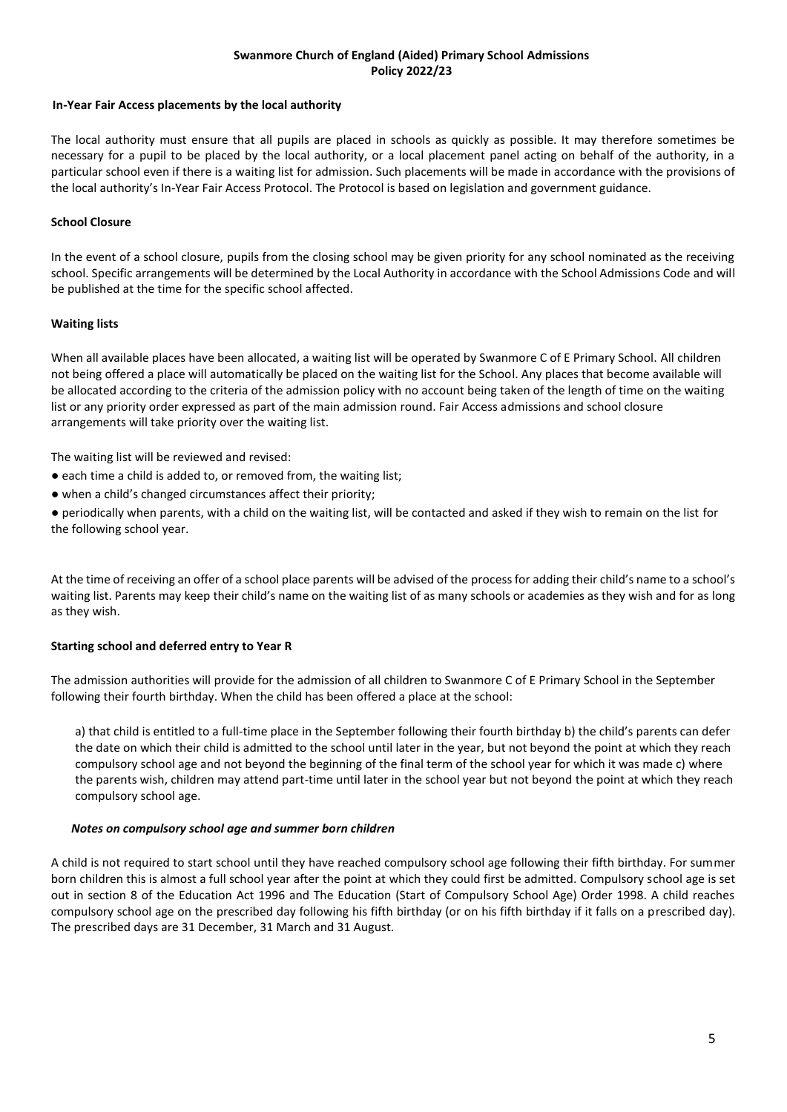#### **In-Year Fair Access placements by the local authority**

The local authority must ensure that all pupils are placed in schools as quickly as possible. It may therefore sometimes be necessary for a pupil to be placed by the local authority, or a local placement panel acting on behalf of the authority, in a particular school even if there is a waiting list for admission. Such placements will be made in accordance with the provisions of the local authority's In-Year Fair Access Protocol. The Protocol is based on legislation and government guidance.

# **School Closure**

In the event of a school closure, pupils from the closing school may be given priority for any school nominated as the receiving school. Specific arrangements will be determined by the Local Authority in accordance with the School Admissions Code and will be published at the time for the specific school affected.

# **Waiting lists**

When all available places have been allocated, a waiting list will be operated by Swanmore C of E Primary School. All children not being offered a place will automatically be placed on the waiting list for the School. Any places that become available will be allocated according to the criteria of the admission policy with no account being taken of the length of time on the waiting list or any priority order expressed as part of the main admission round. Fair Access admissions and school closure arrangements will take priority over the waiting list.

The waiting list will be reviewed and revised:

- each time a child is added to, or removed from, the waiting list;
- when a child's changed circumstances affect their priority;

● periodically when parents, with a child on the waiting list, will be contacted and asked if they wish to remain on the list for the following school year.

At the time of receiving an offer of a school place parents will be advised of the process for adding their child's name to a school's waiting list. Parents may keep their child's name on the waiting list of as many schools or academies as they wish and for as long as they wish.

# **Starting school and deferred entry to Year R**

The admission authorities will provide for the admission of all children to Swanmore C of E Primary School in the September following their fourth birthday. When the child has been offered a place at the school:

a) that child is entitled to a full-time place in the September following their fourth birthday b) the child's parents can defer the date on which their child is admitted to the school until later in the year, but not beyond the point at which they reach compulsory school age and not beyond the beginning of the final term of the school year for which it was made c) where the parents wish, children may attend part-time until later in the school year but not beyond the point at which they reach compulsory school age.

# *Notes on compulsory school age and summer born children*

A child is not required to start school until they have reached compulsory school age following their fifth birthday. For summer born children this is almost a full school year after the point at which they could first be admitted. Compulsory school age is set out in section 8 of the Education Act 1996 and The Education (Start of Compulsory School Age) Order 1998. A child reaches compulsory school age on the prescribed day following his fifth birthday (or on his fifth birthday if it falls on a prescribed day). The prescribed days are 31 December, 31 March and 31 August.